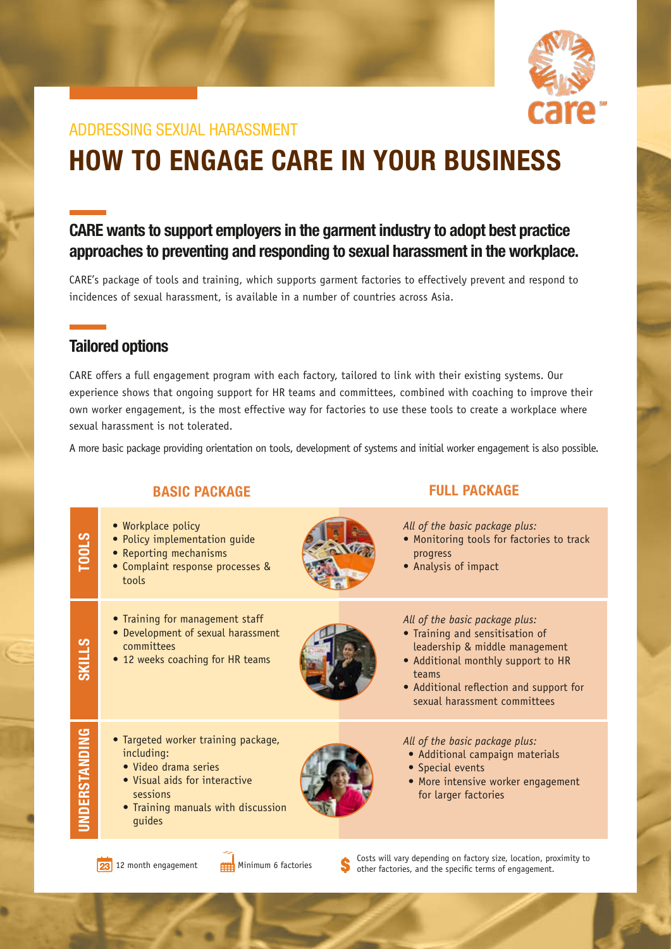

## ADDRESSING SEXUAL HARASSMENT

# HOW TO ENGAGE CARE IN YOUR BUSINESS

## CARE wants to support employers in the garment industry to adopt best practice approaches to preventing and responding to sexual harassment in the workplace.

CARE's package of tools and training, which supports garment factories to effectively prevent and respond to incidences of sexual harassment, is available in a number of countries across Asia.

### Tailored options

CARE offers a full engagement program with each factory, tailored to link with their existing systems. Our experience shows that ongoing support for HR teams and committees, combined with coaching to improve their own worker engagement, is the most effective way for factories to use these tools to create a workplace where sexual harassment is not tolerated.

A more basic package providing orientation on tools, development of systems and initial worker engagement is also possible.

| <b>BASIC PACKAGE</b> |                                                                                                                                                                        | <b>FULL PACKAGE</b> |                                                                                                                                                                                                                               |
|----------------------|------------------------------------------------------------------------------------------------------------------------------------------------------------------------|---------------------|-------------------------------------------------------------------------------------------------------------------------------------------------------------------------------------------------------------------------------|
| TOOLS                | • Workplace policy<br>· Policy implementation guide<br>• Reporting mechanisms<br>• Complaint response processes &<br>tools                                             |                     | All of the basic package plus:<br>• Monitoring tools for factories to track<br>progress<br>• Analysis of impact                                                                                                               |
| <b>SKILLS</b>        | • Training for management staff<br>• Development of sexual harassment<br>committees<br>• 12 weeks coaching for HR teams                                                |                     | All of the basic package plus:<br>• Training and sensitisation of<br>leadership & middle management<br>• Additional monthly support to HR<br>teams<br>• Additional reflection and support for<br>sexual harassment committees |
| UNDERSTANDING        | • Targeted worker training package,<br>including:<br>· Video drama series<br>• Visual aids for interactive<br>sessions<br>• Training manuals with discussion<br>guides |                     | All of the basic package plus:<br>• Additional campaign materials<br>• Special events<br>• More intensive worker engagement<br>for larger factories                                                                           |
|                      |                                                                                                                                                                        |                     | Costs will vary depending on factory size, location, provinity to                                                                                                                                                             |

Costs will vary depending on factory size, location, proximity to **23** 12 month engagement **on the specific terms** of engagement.